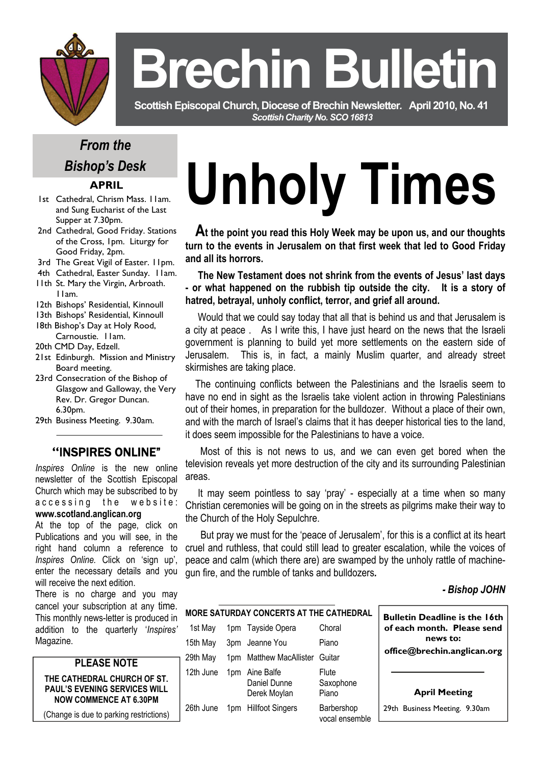

# **Brechin Bulletin**

 **Scottish Episcopal Church, Diocese of Brechin Newsletter***.* **April 2010, No. 41**  *Scottish Charity No. SCO 16813* 

# *From the Bishop's Desk*

## **APRIL**

- 1st Cathedral, Chrism Mass. 11am. and Sung Eucharist of the Last Supper at 7.30pm.
- 2nd Cathedral, Good Friday. Stations of the Cross, 1pm. Liturgy for Good Friday, 2pm.
- 3rd The Great Vigil of Easter. 11pm.
- 4th Cathedral, Easter Sunday. 11am.
- 11th St. Mary the Virgin, Arbroath. 11am.
- 12th Bishops' Residential, Kinnoull
- 13th Bishops' Residential, Kinnoull
- 18th Bishop's Day at Holy Rood, Carnoustie. 11am.
- 20th CMD Day, Edzell.
- 21st Edinburgh. Mission and Ministry Board meeting.
- 23rd Consecration of the Bishop of Glasgow and Galloway, the Very Rev. Dr. Gregor Duncan. 6.30pm.
- 29th Business Meeting. 9.30am.

# **"**INSPIRES ONLINE"

*Inspires Online* is the new online newsletter of the Scottish Episcopal Church which may be subscribed to by accessing the website: **www.scotland.anglican.org** 

At the top of the page, click on Publications and you will see, in the right hand column a reference to *Inspires Online.* Click on 'sign up', enter the necessary details and you will receive the next edition.

There is no charge and you may cancel your subscription at any time. This monthly news-letter is produced in addition to the quarterly '*Inspires'*  Magazine.



(Change is due to parking restrictions)

# **Unholy Times**

 **At the point you read this Holy Week may be upon us, and our thoughts turn to the events in Jerusalem on that first week that led to Good Friday and all its horrors.** 

 **The New Testament does not shrink from the events of Jesus' last days - or what happened on the rubbish tip outside the city. It is a story of hatred, betrayal, unholy conflict, terror, and grief all around.** 

Would that we could say today that all that is behind us and that Jerusalem is a city at peace . As I write this, I have just heard on the news that the Israeli government is planning to build yet more settlements on the eastern side of Jerusalem. This is, in fact, a mainly Muslim quarter, and already street skirmishes are taking place.

 The continuing conflicts between the Palestinians and the Israelis seem to have no end in sight as the Israelis take violent action in throwing Palestinians out of their homes, in preparation for the bulldozer. Without a place of their own, and with the march of Israel's claims that it has deeper historical ties to the land, it does seem impossible for the Palestinians to have a voice.

 Most of this is not news to us, and we can even get bored when the television reveals yet more destruction of the city and its surrounding Palestinian areas.

 It may seem pointless to say 'pray' - especially at a time when so many Christian ceremonies will be going on in the streets as pilgrims make their way to the Church of the Holy Sepulchre.

 But pray we must for the 'peace of Jerusalem', for this is a conflict at its heart cruel and ruthless, that could still lead to greater escalation, while the voices of peace and calm (which there are) are swamped by the unholy rattle of machinegun fire, and the rumble of tanks and bulldozers*.* 

### *- Bishop JOHN*

| MORE SATURDAY CONCERTS AT THE CATHEDRAL |     |                                            |                              | <b>Bulletin Deadline is the 16th</b> |
|-----------------------------------------|-----|--------------------------------------------|------------------------------|--------------------------------------|
| 1st May                                 |     | 1pm Tayside Opera                          | Choral                       | of each month. Please send           |
| 15th May                                | 3pm | Jeanne You                                 | Piano                        | news to:                             |
| 29th May                                | 1pm | <b>Matthew MacAllister</b>                 | Guitar                       | office@brechin.anglican.org          |
| 12th June                               | 1pm | Aine Balfe<br>Daniel Dunne<br>Derek Moylan | Flute<br>Saxophone<br>Piano  | <b>April Meeting</b>                 |
| 26th June                               |     | 1pm Hillfoot Singers                       | Barbershop<br>vocal ensemble | 29th Business Meeting. 9.30am        |